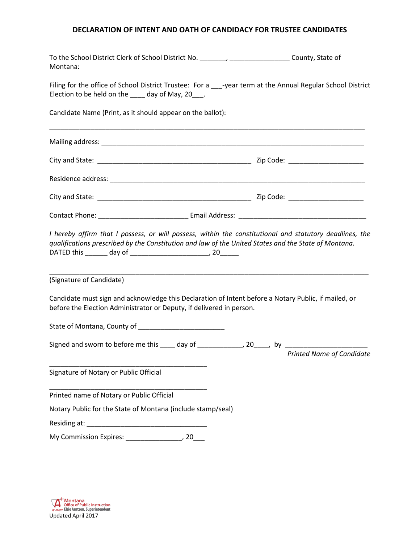## **DECLARATION OF INTENT AND OATH OF CANDIDACY FOR TRUSTEE CANDIDATES**

| Montana:                                                               | To the School District Clerk of School District No. ________, ___________________County, State of                                                                                                               |
|------------------------------------------------------------------------|-----------------------------------------------------------------------------------------------------------------------------------------------------------------------------------------------------------------|
| Election to be held on the ____ day of May, 20___.                     | Filing for the office of School District Trustee: For a ___-year term at the Annual Regular School District                                                                                                     |
| Candidate Name (Print, as it should appear on the ballot):             |                                                                                                                                                                                                                 |
|                                                                        |                                                                                                                                                                                                                 |
|                                                                        |                                                                                                                                                                                                                 |
|                                                                        |                                                                                                                                                                                                                 |
|                                                                        |                                                                                                                                                                                                                 |
|                                                                        |                                                                                                                                                                                                                 |
| DATED this ________ day of ________________________________, 20_______ | I hereby affirm that I possess, or will possess, within the constitutional and statutory deadlines, the<br>qualifications prescribed by the Constitution and law of the United States and the State of Montana. |
| (Signature of Candidate)                                               |                                                                                                                                                                                                                 |
| before the Election Administrator or Deputy, if delivered in person.   | Candidate must sign and acknowledge this Declaration of Intent before a Notary Public, if mailed, or                                                                                                            |
|                                                                        |                                                                                                                                                                                                                 |
|                                                                        | Signed and sworn to before me this _____ day of ______________, 20____, by ________________________<br><b>Printed Name of Candidate</b>                                                                         |
| Signature of Notary or Public Official                                 |                                                                                                                                                                                                                 |
| Printed name of Notary or Public Official                              |                                                                                                                                                                                                                 |
| Notary Public for the State of Montana (include stamp/seal)            |                                                                                                                                                                                                                 |
|                                                                        |                                                                                                                                                                                                                 |
|                                                                        |                                                                                                                                                                                                                 |